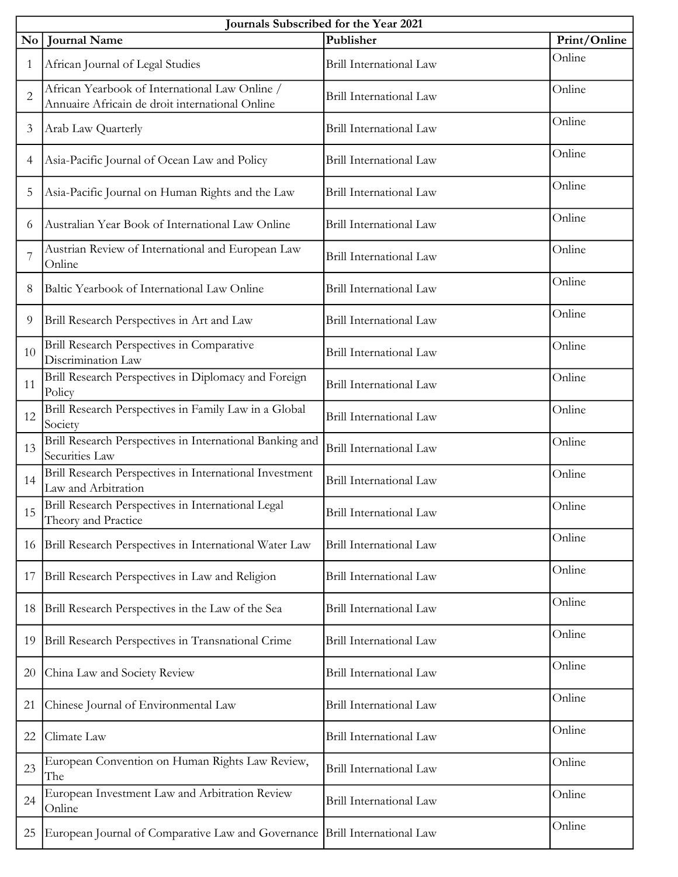| Journals Subscribed for the Year 2021 |                                                                                                   |                         |              |  |
|---------------------------------------|---------------------------------------------------------------------------------------------------|-------------------------|--------------|--|
|                                       | No   Journal Name                                                                                 | Publisher               | Print/Online |  |
| $\mathbf{1}$                          | African Journal of Legal Studies                                                                  | Brill International Law | Online       |  |
| $\overline{2}$                        | African Yearbook of International Law Online /<br>Annuaire Africain de droit international Online | Brill International Law | Online       |  |
| 3                                     | Arab Law Quarterly                                                                                | Brill International Law | Online       |  |
| $\overline{4}$                        | Asia-Pacific Journal of Ocean Law and Policy                                                      | Brill International Law | Online       |  |
| 5                                     | Asia-Pacific Journal on Human Rights and the Law                                                  | Brill International Law | Online       |  |
| 6                                     | Australian Year Book of International Law Online                                                  | Brill International Law | Online       |  |
| 7                                     | Austrian Review of International and European Law<br>Online                                       | Brill International Law | Online       |  |
| 8                                     | Baltic Yearbook of International Law Online                                                       | Brill International Law | Online       |  |
| 9                                     | Brill Research Perspectives in Art and Law                                                        | Brill International Law | Online       |  |
| 10                                    | Brill Research Perspectives in Comparative<br>Discrimination Law                                  | Brill International Law | Online       |  |
| 11                                    | Brill Research Perspectives in Diplomacy and Foreign<br>Policy                                    | Brill International Law | Online       |  |
| 12                                    | Brill Research Perspectives in Family Law in a Global<br>Society                                  | Brill International Law | Online       |  |
| 13                                    | Brill Research Perspectives in International Banking and<br>Securities Law                        | Brill International Law | Online       |  |
| 14                                    | Brill Research Perspectives in International Investment<br>Law and Arbitration                    | Brill International Law | Online       |  |
| 15                                    | Brill Research Perspectives in International Legal<br>Theory and Practice                         | Brill International Law | Online       |  |
| 16                                    | Brill Research Perspectives in International Water Law                                            | Brill International Law | Online       |  |
| 17                                    | Brill Research Perspectives in Law and Religion                                                   | Brill International Law | Online       |  |
| 18                                    | Brill Research Perspectives in the Law of the Sea                                                 | Brill International Law | Online       |  |
| 19                                    | Brill Research Perspectives in Transnational Crime                                                | Brill International Law | Online       |  |
| 20                                    | China Law and Society Review                                                                      | Brill International Law | Online       |  |
| 21                                    | Chinese Journal of Environmental Law                                                              | Brill International Law | Online       |  |
| 22                                    | Climate Law                                                                                       | Brill International Law | Online       |  |
| 23                                    | European Convention on Human Rights Law Review,<br>The                                            | Brill International Law | Online       |  |
| 24                                    | European Investment Law and Arbitration Review<br>Online                                          | Brill International Law | Online       |  |
| 25                                    | European Journal of Comparative Law and Governance                                                | Brill International Law | Online       |  |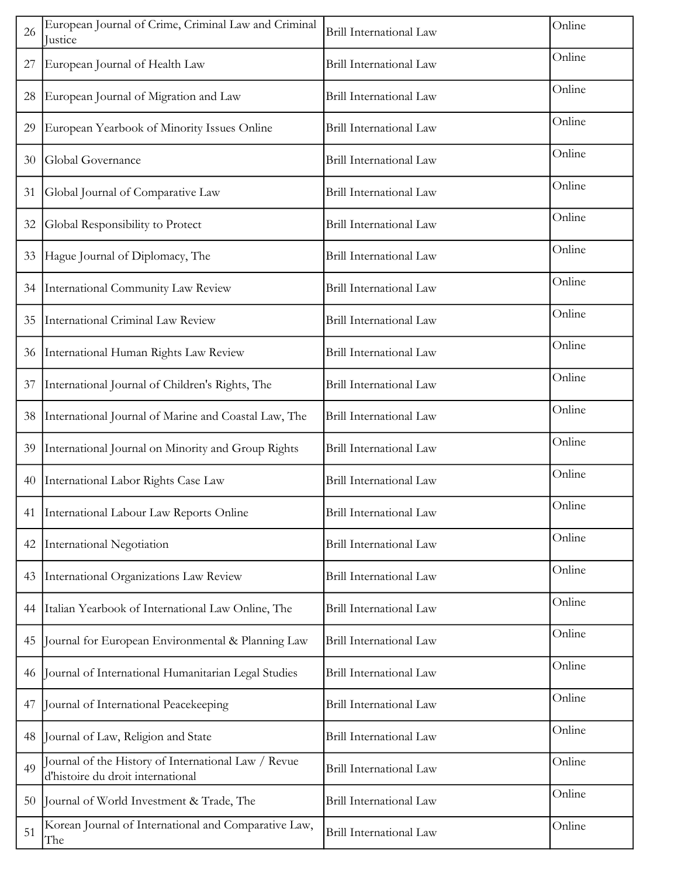| 26 | European Journal of Crime, Criminal Law and Criminal<br>Justice                          | Brill International Law        | Online |
|----|------------------------------------------------------------------------------------------|--------------------------------|--------|
| 27 | European Journal of Health Law                                                           | Brill International Law        | Online |
| 28 | European Journal of Migration and Law                                                    | Brill International Law        | Online |
| 29 | European Yearbook of Minority Issues Online                                              | Brill International Law        | Online |
| 30 | Global Governance                                                                        | Brill International Law        | Online |
| 31 | Global Journal of Comparative Law                                                        | Brill International Law        | Online |
| 32 | Global Responsibility to Protect                                                         | Brill International Law        | Online |
| 33 | Hague Journal of Diplomacy, The                                                          | Brill International Law        | Online |
| 34 | International Community Law Review                                                       | Brill International Law        | Online |
| 35 | International Criminal Law Review                                                        | Brill International Law        | Online |
| 36 | International Human Rights Law Review                                                    | Brill International Law        | Online |
| 37 | International Journal of Children's Rights, The                                          | Brill International Law        | Online |
| 38 | International Journal of Marine and Coastal Law, The                                     | Brill International Law        | Online |
| 39 | International Journal on Minority and Group Rights                                       | Brill International Law        | Online |
| 40 | International Labor Rights Case Law                                                      | Brill International Law        | Online |
|    | 41   International Labour Law Reports Online                                             | Brill International Law        | Online |
| 42 | <b>International Negotiation</b>                                                         | Brill International Law        | Online |
| 43 | International Organizations Law Review                                                   | Brill International Law        | Online |
| 44 | Italian Yearbook of International Law Online, The                                        | Brill International Law        | Online |
| 45 | Journal for European Environmental & Planning Law                                        | Brill International Law        | Online |
| 46 | Journal of International Humanitarian Legal Studies                                      | Brill International Law        | Online |
| 47 | Journal of International Peacekeeping                                                    | Brill International Law        | Online |
| 48 | Journal of Law, Religion and State                                                       | Brill International Law        | Online |
| 49 | Journal of the History of International Law / Revue<br>d'histoire du droit international | Brill International Law        | Online |
| 50 | Journal of World Investment & Trade, The                                                 | <b>Brill International Law</b> | Online |
| 51 | Korean Journal of International and Comparative Law,<br>The                              | <b>Brill International Law</b> | Online |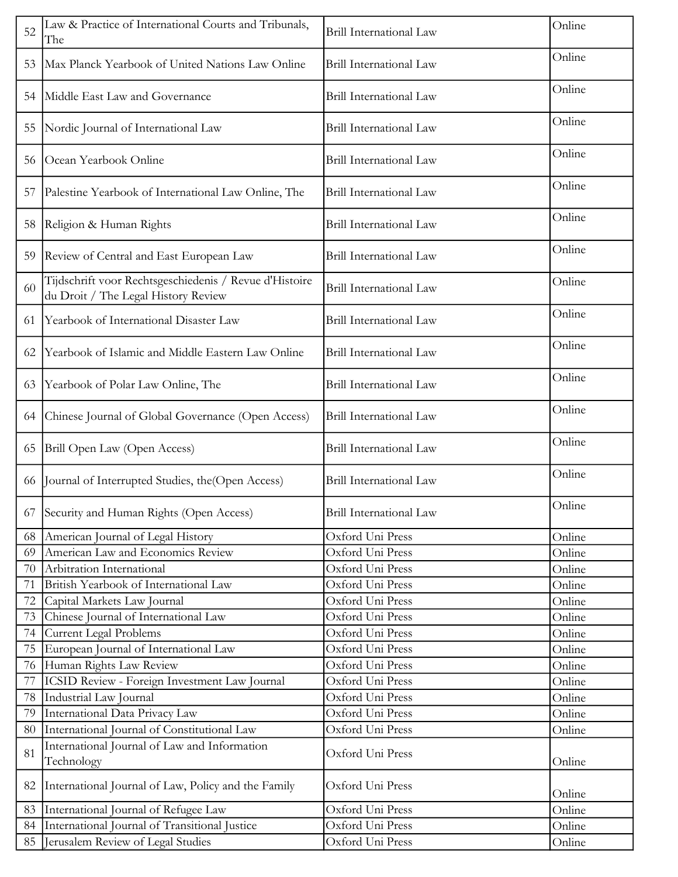| 52 | Law & Practice of International Courts and Tribunals,<br>The                                  | Brill International Law        | Online |
|----|-----------------------------------------------------------------------------------------------|--------------------------------|--------|
| 53 | Max Planck Yearbook of United Nations Law Online                                              | Brill International Law        | Online |
| 54 | Middle East Law and Governance                                                                | <b>Brill International Law</b> | Online |
| 55 | Nordic Journal of International Law                                                           | Brill International Law        | Online |
| 56 | Ocean Yearbook Online                                                                         | Brill International Law        | Online |
| 57 | Palestine Yearbook of International Law Online, The                                           | Brill International Law        | Online |
| 58 | Religion & Human Rights                                                                       | Brill International Law        | Online |
| 59 | Review of Central and East European Law                                                       | Brill International Law        | Online |
| 60 | Tijdschrift voor Rechtsgeschiedenis / Revue d'Histoire<br>du Droit / The Legal History Review | Brill International Law        | Online |
| 61 | Yearbook of International Disaster Law                                                        | Brill International Law        | Online |
| 62 | Yearbook of Islamic and Middle Eastern Law Online                                             | Brill International Law        | Online |
| 63 | Yearbook of Polar Law Online, The                                                             | Brill International Law        | Online |
| 64 | Chinese Journal of Global Governance (Open Access)                                            | Brill International Law        | Online |
| 65 | Brill Open Law (Open Access)                                                                  | <b>Brill International Law</b> | Online |
| 66 | Journal of Interrupted Studies, the (Open Access)                                             | Brill International Law        | Online |
|    | 67 Security and Human Rights (Open Access)                                                    | Brill International Law        | Online |
| 68 | American Journal of Legal History                                                             | Oxford Uni Press               | Online |
| 69 | American Law and Economics Review                                                             | Oxford Uni Press               | Online |
| 70 | Arbitration International                                                                     | Oxford Uni Press               | Online |
| 71 | British Yearbook of International Law                                                         | Oxford Uni Press               | Online |
| 72 | Capital Markets Law Journal                                                                   | Oxford Uni Press               | Online |
| 73 | Chinese Journal of International Law                                                          | Oxford Uni Press               | Online |
| 74 | Current Legal Problems                                                                        | Oxford Uni Press               | Online |
| 75 | European Journal of International Law                                                         | Oxford Uni Press               | Online |
| 76 | Human Rights Law Review                                                                       | Oxford Uni Press               | Online |
| 77 | ICSID Review - Foreign Investment Law Journal                                                 | Oxford Uni Press               | Online |
| 78 | Industrial Law Journal                                                                        | Oxford Uni Press               | Online |
| 79 | International Data Privacy Law                                                                | Oxford Uni Press               | Online |
| 80 | International Journal of Constitutional Law                                                   | Oxford Uni Press               | Online |
| 81 | International Journal of Law and Information<br>Technology                                    | Oxford Uni Press               | Online |
| 82 | International Journal of Law, Policy and the Family                                           | Oxford Uni Press               | Online |
| 83 | International Journal of Refugee Law                                                          | Oxford Uni Press               | Online |
| 84 | International Journal of Transitional Justice                                                 | Oxford Uni Press               | Online |
|    |                                                                                               |                                |        |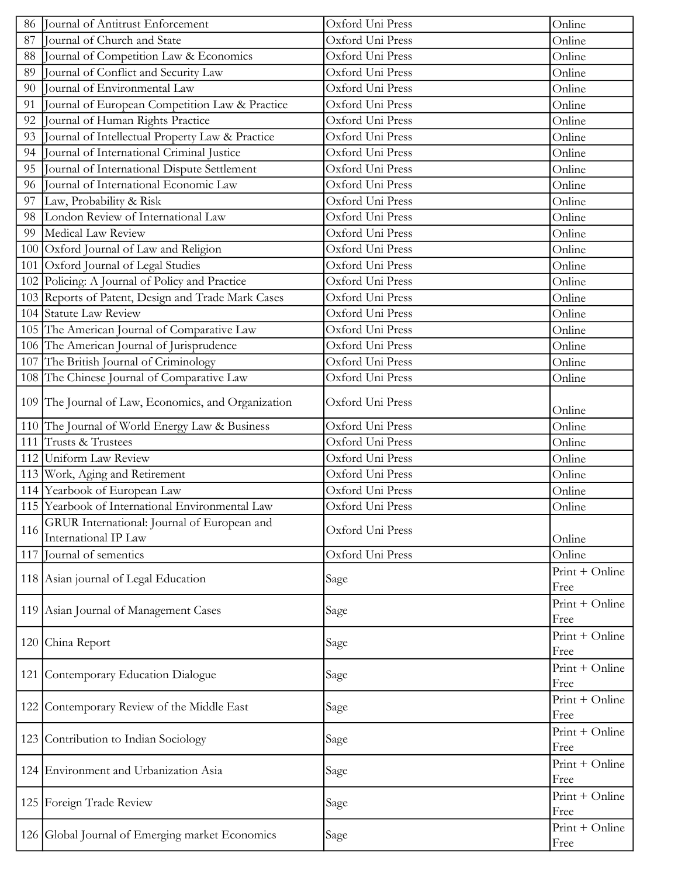| 86  | Journal of Antitrust Enforcement                                    | Oxford Uni Press | Online                 |
|-----|---------------------------------------------------------------------|------------------|------------------------|
| 87  | Journal of Church and State                                         | Oxford Uni Press | Online                 |
| 88  | Journal of Competition Law & Economics                              | Oxford Uni Press | Online                 |
| 89  | Journal of Conflict and Security Law                                | Oxford Uni Press | Online                 |
| 90  | Journal of Environmental Law                                        | Oxford Uni Press | Online                 |
| 91  | Journal of European Competition Law & Practice                      | Oxford Uni Press | Online                 |
| 92  | Journal of Human Rights Practice                                    | Oxford Uni Press | Online                 |
| 93  | Journal of Intellectual Property Law & Practice                     | Oxford Uni Press | Online                 |
| 94  | Journal of International Criminal Justice                           | Oxford Uni Press | Online                 |
| 95  | Journal of International Dispute Settlement                         | Oxford Uni Press | Online                 |
| 96  | Journal of International Economic Law                               | Oxford Uni Press | Online                 |
| 97  | Law, Probability & Risk                                             | Oxford Uni Press | Online                 |
| 98  | London Review of International Law                                  | Oxford Uni Press | Online                 |
| 99  | Medical Law Review                                                  | Oxford Uni Press | Online                 |
|     | 100 Oxford Journal of Law and Religion                              | Oxford Uni Press | Online                 |
|     | 101 Oxford Journal of Legal Studies                                 | Oxford Uni Press | Online                 |
|     | 102 Policing: A Journal of Policy and Practice                      | Oxford Uni Press | Online                 |
|     | 103 Reports of Patent, Design and Trade Mark Cases                  | Oxford Uni Press | Online                 |
|     | 104 Statute Law Review                                              | Oxford Uni Press | Online                 |
|     | 105 The American Journal of Comparative Law                         | Oxford Uni Press | Online                 |
|     | 106 The American Journal of Jurisprudence                           | Oxford Uni Press | Online                 |
|     | 107 The British Journal of Criminology                              | Oxford Uni Press | Online                 |
|     | 108 The Chinese Journal of Comparative Law                          | Oxford Uni Press | Online                 |
|     | 109 The Journal of Law, Economics, and Organization                 | Oxford Uni Press | Online                 |
|     | 110 The Journal of World Energy Law & Business                      | Oxford Uni Press | Online                 |
|     | 111 Trusts & Trustees                                               | Oxford Uni Press | Online                 |
|     | 112 Uniform Law Review                                              | Oxford Uni Press | Online                 |
|     | 113 Work, Aging and Retirement                                      | Oxford Uni Press | Online                 |
|     | 114 Yearbook of European Law                                        | Oxford Uni Press | Online                 |
|     | 115 Yearbook of International Environmental Law                     | Oxford Uni Press | Online                 |
| 116 | GRUR International: Journal of European and<br>International IP Law | Oxford Uni Press | Online                 |
|     | 117 Journal of sementics                                            | Oxford Uni Press | Online                 |
|     | 118 Asian journal of Legal Education                                | Sage             | Print + Online<br>Free |
|     | 119 Asian Journal of Management Cases                               | Sage             | Print + Online<br>Free |
|     | 120 China Report                                                    | Sage             | Print + Online<br>Free |
|     | 121 Contemporary Education Dialogue                                 | Sage             | Print + Online<br>Free |
|     | 122 Contemporary Review of the Middle East                          | Sage             | Print + Online<br>Free |
|     | 123 Contribution to Indian Sociology                                | Sage             | Print + Online<br>Free |
|     | 124 Environment and Urbanization Asia                               | Sage             | Print + Online<br>Free |
|     | 125   Foreign Trade Review                                          | Sage             | Print + Online<br>Free |
|     | 126 Global Journal of Emerging market Economics                     | Sage             | Print + Online<br>Free |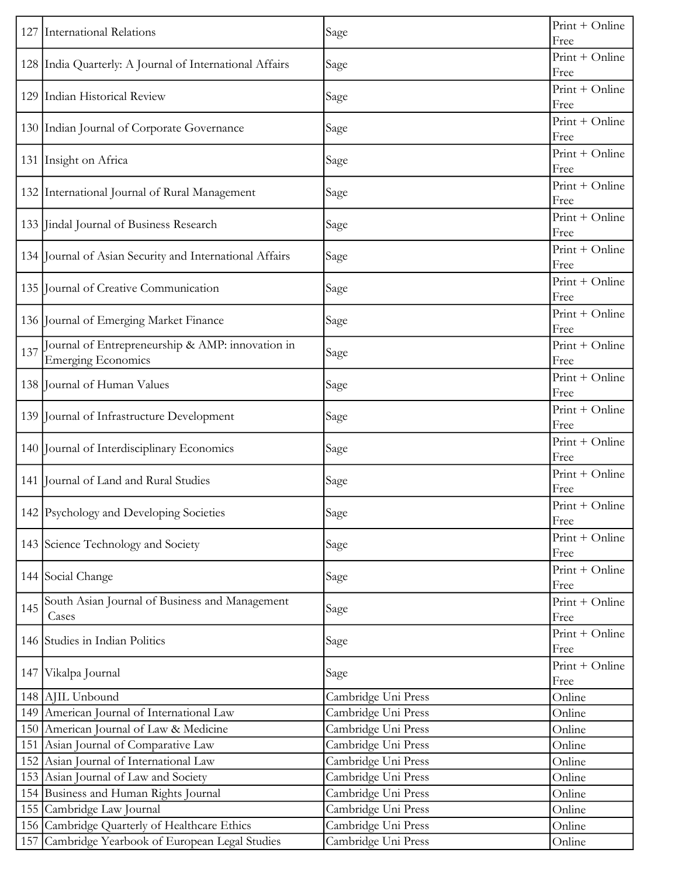|     | 127 International Relations                                            | Sage                | $Print + Online$<br>Free |
|-----|------------------------------------------------------------------------|---------------------|--------------------------|
|     | 128 India Quarterly: A Journal of International Affairs                | Sage                | Print + Online<br>Free   |
|     | 129 Indian Historical Review                                           | Sage                | Print + Online<br>Free   |
|     | 130 Indian Journal of Corporate Governance                             | Sage                | Print + Online<br>Free   |
|     | 131 Insight on Africa                                                  | Sage                | Print + Online<br>Free   |
|     | 132 International Journal of Rural Management                          | Sage                | Print + Online<br>Free   |
|     | 133 Jindal Journal of Business Research                                | Sage                | Print + Online<br>Free   |
|     | 134 Journal of Asian Security and International Affairs                | Sage                | Print + Online<br>Free   |
|     | 135 Journal of Creative Communication                                  | Sage                | Print + Online<br>Free   |
|     | 136 Journal of Emerging Market Finance                                 | Sage                | Print + Online<br>Free   |
| 137 | Journal of Entrepreneurship & AMP: innovation in<br>Emerging Economics | Sage                | Print + Online<br>Free   |
|     | 138 Journal of Human Values                                            | Sage                | Print + Online<br>Free   |
|     | 139 Journal of Infrastructure Development                              | Sage                | Print + Online<br>Free   |
|     | 140 Journal of Interdisciplinary Economics                             | Sage                | Print + Online<br>Free   |
|     | 141 Journal of Land and Rural Studies                                  | Sage                | Print + Online<br>Free   |
|     | 142 Psychology and Developing Societies                                | Sage                | Print + Online<br>Free   |
|     | 143 Science Technology and Society                                     | Sage                | Print + Online<br>Free   |
|     | 144 Social Change                                                      | Sage                | Print + Online<br>Free   |
| 145 | South Asian Journal of Business and Management<br>Cases                | Sage                | Print + Online<br>Free   |
|     | 146 Studies in Indian Politics                                         | Sage                | Print + Online<br>Free   |
|     | 147 Vikalpa Journal                                                    | Sage                | Print + Online<br>Free   |
|     | 148 AJIL Unbound                                                       | Cambridge Uni Press | Online                   |
|     | 149 American Journal of International Law                              | Cambridge Uni Press | Online                   |
|     | 150 American Journal of Law & Medicine                                 | Cambridge Uni Press | Online                   |
|     | 151 Asian Journal of Comparative Law                                   | Cambridge Uni Press | Online                   |
|     | 152 Asian Journal of International Law                                 | Cambridge Uni Press | Online                   |
|     | 153 Asian Journal of Law and Society                                   | Cambridge Uni Press | Online                   |
|     | 154 Business and Human Rights Journal                                  | Cambridge Uni Press | Online                   |
|     | 155 Cambridge Law Journal                                              | Cambridge Uni Press | Online                   |
|     | 156 Cambridge Quarterly of Healthcare Ethics                           | Cambridge Uni Press | Online                   |
|     | 157 Cambridge Yearbook of European Legal Studies                       | Cambridge Uni Press | Online                   |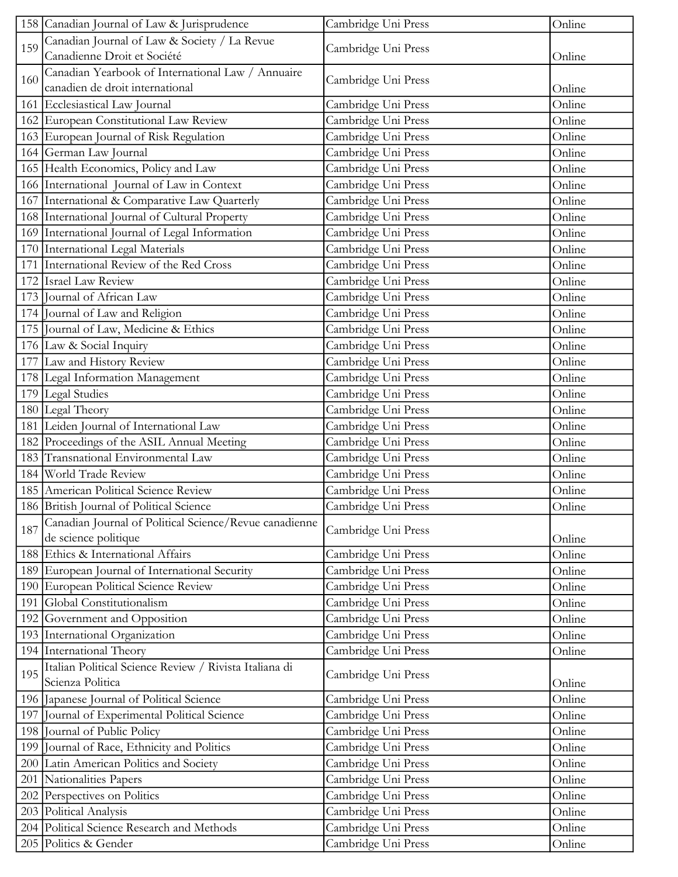| 158 Canadian Journal of Law & Jurisprudence                                       | Cambridge Uni Press | Online |
|-----------------------------------------------------------------------------------|---------------------|--------|
| Canadian Journal of Law & Society / La Revue<br>159                               |                     |        |
| Canadienne Droit et Société                                                       | Cambridge Uni Press | Online |
| Canadian Yearbook of International Law / Annuaire<br>160                          |                     |        |
| canadien de droit international                                                   | Cambridge Uni Press | Online |
| 161 Ecclesiastical Law Journal                                                    | Cambridge Uni Press | Online |
| 162 European Constitutional Law Review                                            | Cambridge Uni Press | Online |
| 163 European Journal of Risk Regulation                                           | Cambridge Uni Press | Online |
| 164 German Law Journal                                                            | Cambridge Uni Press | Online |
| 165 Health Economics, Policy and Law                                              | Cambridge Uni Press | Online |
| 166 International Journal of Law in Context                                       | Cambridge Uni Press | Online |
| 167 International & Comparative Law Quarterly                                     | Cambridge Uni Press | Online |
| 168 International Journal of Cultural Property                                    | Cambridge Uni Press | Online |
| 169 International Journal of Legal Information                                    | Cambridge Uni Press | Online |
| 170 International Legal Materials                                                 | Cambridge Uni Press | Online |
| 171 International Review of the Red Cross                                         | Cambridge Uni Press | Online |
| 172 Israel Law Review                                                             | Cambridge Uni Press | Online |
| 173 Journal of African Law                                                        | Cambridge Uni Press | Online |
| 174 Journal of Law and Religion                                                   | Cambridge Uni Press | Online |
| 175 Journal of Law, Medicine & Ethics                                             | Cambridge Uni Press | Online |
| 176 Law & Social Inquiry                                                          | Cambridge Uni Press | Online |
| 177 Law and History Review                                                        | Cambridge Uni Press | Online |
| 178 Legal Information Management                                                  | Cambridge Uni Press | Online |
| 179 Legal Studies                                                                 | Cambridge Uni Press | Online |
| 180 Legal Theory                                                                  | Cambridge Uni Press | Online |
| 181 Leiden Journal of International Law                                           | Cambridge Uni Press | Online |
| 182 Proceedings of the ASIL Annual Meeting                                        | Cambridge Uni Press | Online |
| 183 Transnational Environmental Law                                               | Cambridge Uni Press | Online |
| 184 World Trade Review                                                            | Cambridge Uni Press | Online |
| 185 American Political Science Review                                             | Cambridge Uni Press | Online |
| 186 British Journal of Political Science                                          | Cambridge Uni Press | Online |
| Canadian Journal of Political Science/Revue canadienne<br>187                     | Cambridge Uni Press |        |
| de science politique                                                              |                     | Online |
| 188 Ethics & International Affairs                                                | Cambridge Uni Press | Online |
| 189 European Journal of International Security                                    | Cambridge Uni Press | Online |
| 190 European Political Science Review                                             | Cambridge Uni Press | Online |
| 191 Global Constitutionalism                                                      | Cambridge Uni Press | Online |
| 192 Government and Opposition                                                     | Cambridge Uni Press | Online |
| 193 International Organization                                                    | Cambridge Uni Press | Online |
| 194 International Theory                                                          | Cambridge Uni Press | Online |
| Italian Political Science Review / Rivista Italiana di<br>195<br>Scienza Politica | Cambridge Uni Press | Online |
| 196 Japanese Journal of Political Science                                         | Cambridge Uni Press | Online |
| 197 Journal of Experimental Political Science                                     | Cambridge Uni Press | Online |
| 198 Journal of Public Policy                                                      | Cambridge Uni Press | Online |
| 199 Journal of Race, Ethnicity and Politics                                       | Cambridge Uni Press | Online |
| 200 Latin American Politics and Society                                           | Cambridge Uni Press | Online |
| 201 Nationalities Papers                                                          | Cambridge Uni Press | Online |
| 202 Perspectives on Politics                                                      | Cambridge Uni Press | Online |
| 203 Political Analysis                                                            | Cambridge Uni Press | Online |
| 204 Political Science Research and Methods                                        | Cambridge Uni Press | Online |
| 205 Politics & Gender                                                             | Cambridge Uni Press | Online |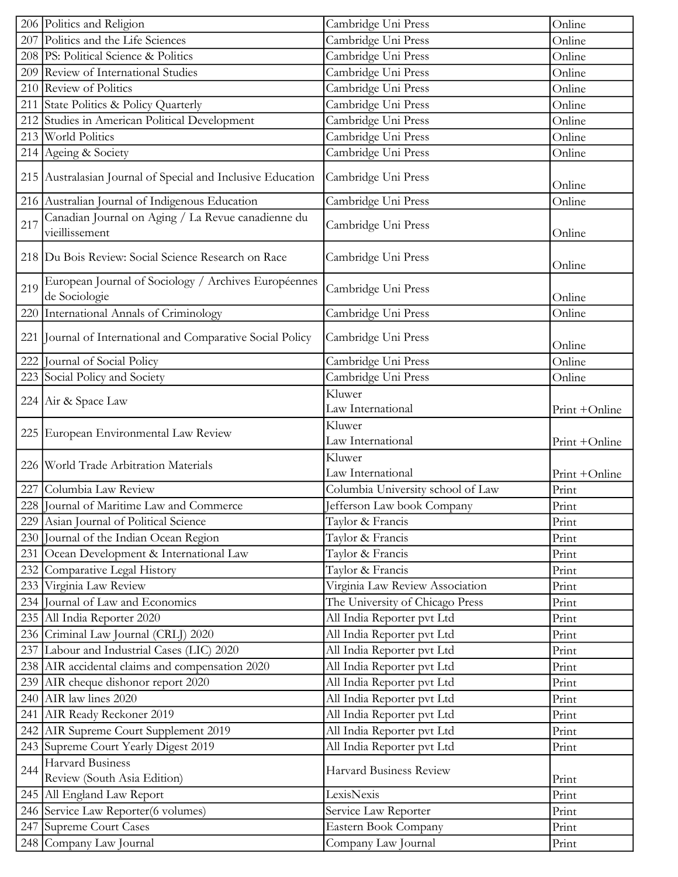|     | 206 Politics and Religion                                             | Cambridge Uni Press                         | Online        |
|-----|-----------------------------------------------------------------------|---------------------------------------------|---------------|
|     | 207 Politics and the Life Sciences                                    | Cambridge Uni Press                         | Online        |
|     | 208 PS: Political Science & Politics                                  | Cambridge Uni Press                         | Online        |
|     | 209 Review of International Studies                                   | Cambridge Uni Press                         | Online        |
|     | 210 Review of Politics                                                | Cambridge Uni Press                         | Online        |
|     | 211 State Politics & Policy Quarterly                                 | Cambridge Uni Press                         | Online        |
|     | 212 Studies in American Political Development                         | Cambridge Uni Press                         | Online        |
|     | 213 World Politics                                                    | Cambridge Uni Press                         | Online        |
|     | 214 Ageing & Society                                                  | Cambridge Uni Press                         | Online        |
|     | 215 Australasian Journal of Special and Inclusive Education           | Cambridge Uni Press                         | Online        |
|     | 216 Australian Journal of Indigenous Education                        | Cambridge Uni Press                         | Online        |
| 217 | Canadian Journal on Aging / La Revue canadienne du<br>vieillissement  | Cambridge Uni Press                         | Online        |
|     | 218 Du Bois Review: Social Science Research on Race                   | Cambridge Uni Press                         | Online        |
| 219 | European Journal of Sociology / Archives Européennes<br>de Sociologie | Cambridge Uni Press                         | Online        |
|     | 220 International Annals of Criminology                               | Cambridge Uni Press                         | Online        |
|     | 221 Journal of International and Comparative Social Policy            | Cambridge Uni Press                         | Online        |
| 222 | Journal of Social Policy                                              | Cambridge Uni Press                         | Online        |
|     | 223 Social Policy and Society                                         | Cambridge Uni Press                         | Online        |
|     | 224 Air & Space Law                                                   | Kluwer                                      |               |
|     |                                                                       | Law International                           | Print +Online |
|     | 225 European Environmental Law Review                                 | Kluwer                                      |               |
|     |                                                                       | Law International                           | Print +Online |
|     | 226 World Trade Arbitration Materials                                 | Kluwer                                      |               |
|     |                                                                       | Law International                           | Print +Online |
| 227 | Columbia Law Review                                                   | Columbia University school of Law           | Print         |
|     |                                                                       | Jefferson Law book Company                  | Print         |
|     | 228 Journal of Maritime Law and Commerce                              |                                             |               |
|     | 229 Asian Journal of Political Science                                | Taylor & Francis                            | Print         |
| 230 | Journal of the Indian Ocean Region                                    | Taylor & Francis                            | Print         |
| 231 | Ocean Development & International Law                                 | Taylor & Francis                            | Print         |
|     | 232 Comparative Legal History                                         | Taylor & Francis                            | Print         |
| 233 | Virginia Law Review                                                   | Virginia Law Review Association             | Print         |
| 234 | Journal of Law and Economics                                          | The University of Chicago Press             | Print         |
|     | 235 All India Reporter 2020                                           | All India Reporter pvt Ltd                  | Print         |
|     | 236 Criminal Law Journal (CRLJ) 2020                                  | All India Reporter pvt Ltd                  | Print         |
| 237 | Labour and Industrial Cases (LIC) 2020                                | All India Reporter pvt Ltd                  | Print         |
|     | 238 AIR accidental claims and compensation 2020                       | All India Reporter pvt Ltd                  | Print         |
|     | 239 AIR cheque dishonor report 2020                                   | All India Reporter pvt Ltd                  | Print         |
|     | 240 AIR law lines $2020$                                              | All India Reporter pvt Ltd                  | Print         |
| 241 | AIR Ready Reckoner 2019                                               | All India Reporter pvt Ltd                  | Print         |
|     | 242 AIR Supreme Court Supplement 2019                                 | All India Reporter pvt Ltd                  | Print         |
|     | 243 Supreme Court Yearly Digest 2019                                  | All India Reporter pvt Ltd                  | Print         |
| 244 | Harvard Business<br>Review (South Asia Edition)                       | Harvard Business Review                     | Print         |
|     | 245 All England Law Report                                            | LexisNexis                                  | Print         |
|     | 246 Service Law Reporter(6 volumes)                                   | Service Law Reporter                        | Print         |
|     | 247 Supreme Court Cases                                               | Eastern Book Company<br>Company Law Journal | Print         |